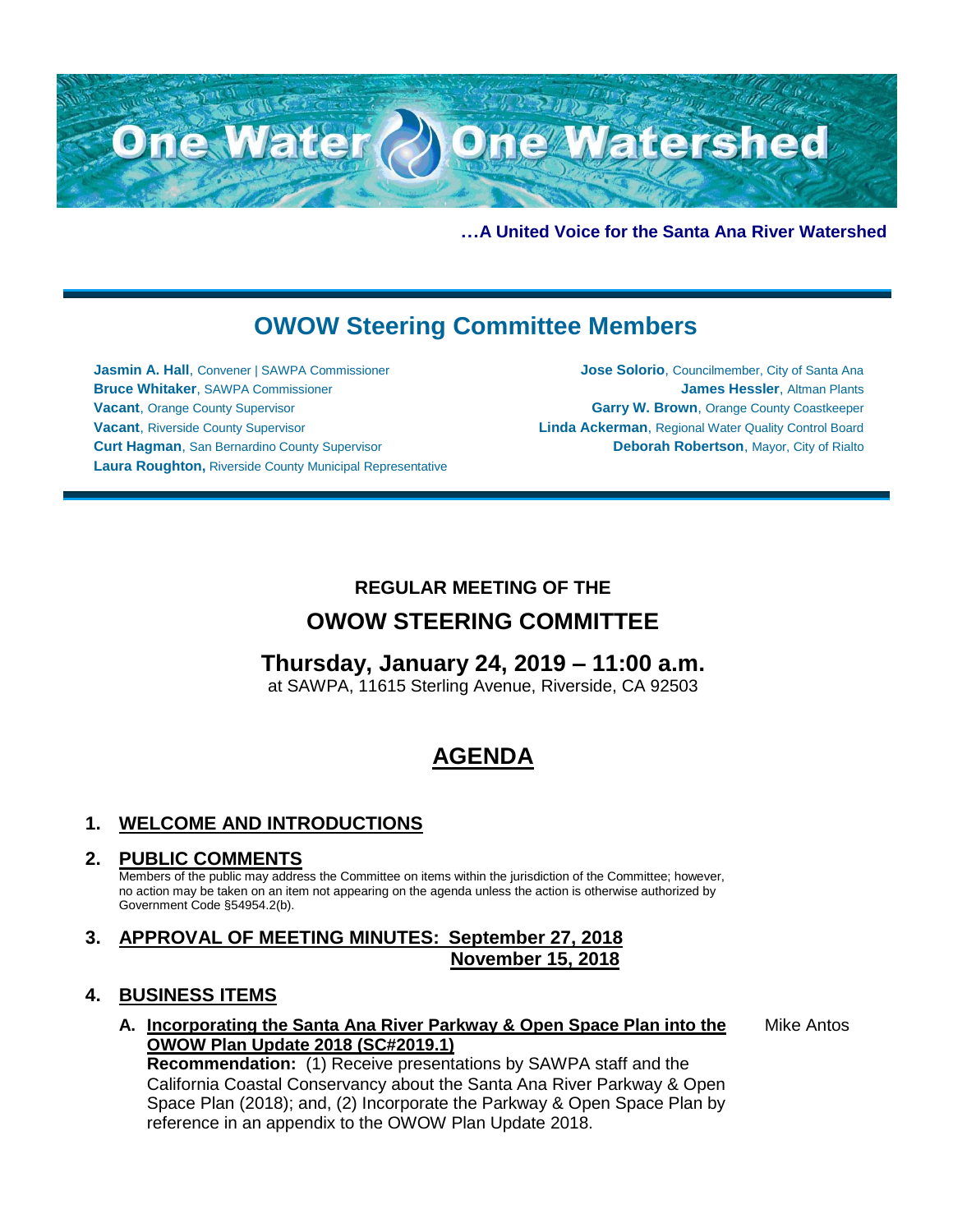

**…A United Voice for the Santa Ana River Watershed**

# **OWOW Steering Committee Members**

**Jasmin A. Hall**, Convener | SAWPA Commissioner **Bruce Whitaker**, SAWPA Commissioner **Vacant**, Orange County Supervisor **Vacant**, Riverside County Supervisor **Curt Hagman**, San Bernardino County Supervisor **Laura Roughton,** Riverside County Municipal Representative

**Jose Solorio**, Councilmember, City of Santa Ana **James Hessler**, Altman Plants **Garry W. Brown**, Orange County Coastkeeper **Linda Ackerman**, Regional Water Quality Control Board **Deborah Robertson**, Mayor, City of Rialto

### **REGULAR MEETING OF THE**

## **OWOW STEERING COMMITTEE**

## **Thursday, January 24, 2019 – 11:00 a.m.**

at SAWPA, 11615 Sterling Avenue, Riverside, CA 92503

## **AGENDA**

### **1. WELCOME AND INTRODUCTIONS**

#### **2. PUBLIC COMMENTS**

Members of the public may address the Committee on items within the jurisdiction of the Committee; however, no action may be taken on an item not appearing on the agenda unless the action is otherwise authorized by Government Code §54954.2(b).

### **3. APPROVAL OF MEETING MINUTES: September 27, 2018 November 15, 2018**

#### **4. BUSINESS ITEMS**

**A. Incorporating the Santa Ana River Parkway & Open Space Plan into the OWOW Plan Update 2018 (SC#2019.1)**

**Recommendation:** (1) Receive presentations by SAWPA staff and the California Coastal Conservancy about the Santa Ana River Parkway & Open Space Plan (2018); and, (2) Incorporate the Parkway & Open Space Plan by reference in an appendix to the OWOW Plan Update 2018.

Mike Antos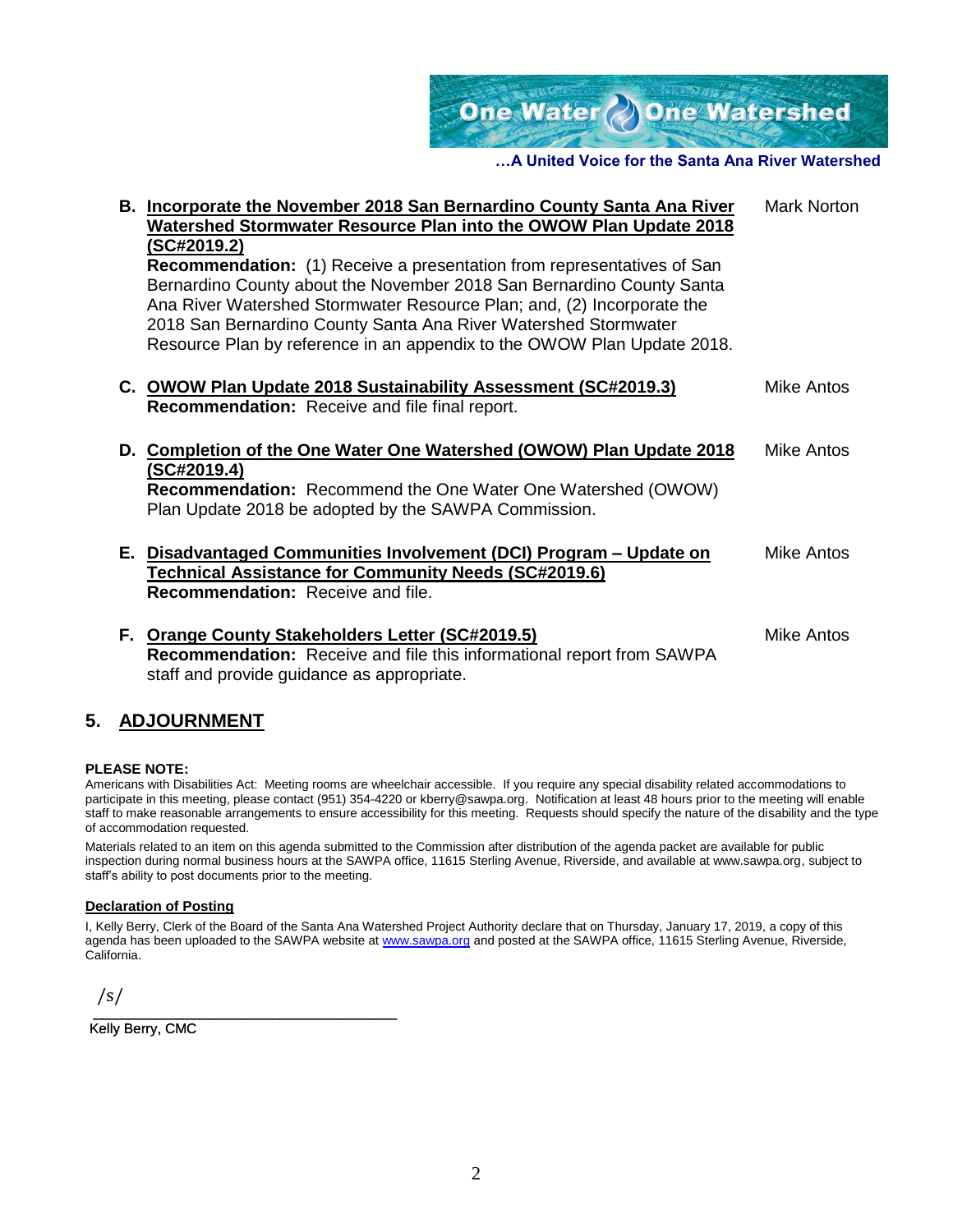One Water One Watershed

#### **…A United Voice for the Santa Ana River Watershed**

| B. Incorporate the November 2018 San Bernardino County Santa Ana River<br>Watershed Stormwater Resource Plan into the OWOW Plan Update 2018     | <b>Mark Norton</b> |
|-------------------------------------------------------------------------------------------------------------------------------------------------|--------------------|
| (SC#2019.2)<br><b>Recommendation:</b> (1) Receive a presentation from representatives of San                                                    |                    |
| Bernardino County about the November 2018 San Bernardino County Santa<br>Ana River Watershed Stormwater Resource Plan; and, (2) Incorporate the |                    |
| 2018 San Bernardino County Santa Ana River Watershed Stormwater<br>Resource Plan by reference in an appendix to the OWOW Plan Update 2018.      |                    |
|                                                                                                                                                 |                    |
| C. OWOW Plan Update 2018 Sustainability Assessment (SC#2019.3)<br><b>Recommendation:</b> Receive and file final report.                         | Mike Antos         |
| D. Completion of the One Water One Watershed (OWOW) Plan Update 2018<br>(SC#2019.4)                                                             | Mike Antos         |
| Recommendation: Recommend the One Water One Watershed (OWOW)<br>Plan Update 2018 be adopted by the SAWPA Commission.                            |                    |
| E. Disadvantaged Communities Involvement (DCI) Program – Update on<br>Technical Assistance for Community Needs (SC#2019.6)                      | Mike Antos         |
| <b>Recommendation: Receive and file.</b>                                                                                                        |                    |
| F. Orange County Stakeholders Letter (SC#2019.5)<br>e processively a comparative constitution of the former and constant frame. CAM/DA          | Mike Antos         |

**Recommendation:** Receive and file this informational report from SAWPA staff and provide guidance as appropriate.

#### **5. ADJOURNMENT**

#### **PLEASE NOTE:**

Americans with Disabilities Act: Meeting rooms are wheelchair accessible. If you require any special disability related accommodations to participate in this meeting, please contact (951) 354-4220 or kberry@sawpa.org. Notification at least 48 hours prior to the meeting will enable staff to make reasonable arrangements to ensure accessibility for this meeting. Requests should specify the nature of the disability and the type of accommodation requested.

Materials related to an item on this agenda submitted to the Commission after distribution of the agenda packet are available for public inspection during normal business hours at the SAWPA office, 11615 Sterling Avenue, Riverside, and available at www.sawpa.org, subject to staff's ability to post documents prior to the meeting.

#### **Declaration of Posting**

I, Kelly Berry, Clerk of the Board of the Santa Ana Watershed Project Authority declare that on Thursday, January 17, 2019, a copy of this agenda has been uploaded to the SAWPA website a[t www.sawpa.org](http://www.sawpa.org/) and posted at the SAWPA office, 11615 Sterling Avenue, Riverside, California.

/s/

\_\_\_\_\_\_\_\_\_\_\_\_\_\_\_\_\_\_\_\_\_\_\_\_\_\_\_\_\_\_\_\_\_\_\_\_\_\_\_ Kelly Berry, CMC